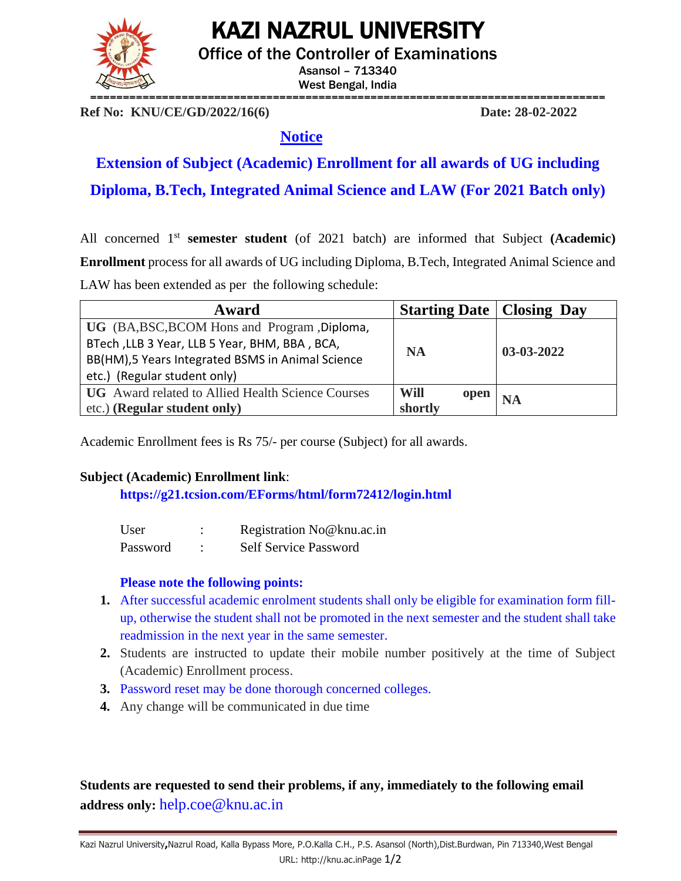

## KAZI NAZRUL UNIVERSITY

Office of the Controller of Examinations

Asansol – 713340 West Bengal, India

**Ref No: KNU/CE/GD/2022/16(6) Date: 28-02-2022**

## **Notice**

**Extension of Subject (Academic) Enrollment for all awards of UG including Diploma, B.Tech, Integrated Animal Science and LAW (For 2021 Batch only)**

All concerned 1<sup>st</sup> semester student (of 2021 batch) are informed that Subject (Academic) **Enrollment** process for all awards of UG including Diploma, B.Tech, Integrated Animal Science and LAW has been extended as per the following schedule:

| Award                                                    | <b>Starting Date   Closing Day</b> |            |  |
|----------------------------------------------------------|------------------------------------|------------|--|
| UG (BA, BSC, BCOM Hons and Program, Diploma,             |                                    |            |  |
| BTech, LLB 3 Year, LLB 5 Year, BHM, BBA, BCA,            | <b>NA</b>                          | 03-03-2022 |  |
| BB(HM),5 Years Integrated BSMS in Animal Science         |                                    |            |  |
| etc.) (Regular student only)                             |                                    |            |  |
| <b>UG</b> Award related to Allied Health Science Courses | <b>Will</b><br>open                |            |  |
| etc.) (Regular student only)                             | shortly                            |            |  |

Academic Enrollment fees is Rs 75/- per course (Subject) for all awards.

## **Subject (Academic) Enrollment link**:

**<https://g21.tcsion.com/EForms/html/form72412/login.html>**

| User     | Registration No@knu.ac.in    |
|----------|------------------------------|
| Password | <b>Self Service Password</b> |

## **Please note the following points:**

- **1.** After successful academic enrolment students shall only be eligible for examination form fillup, otherwise the student shall not be promoted in the next semester and the student shall take readmission in the next year in the same semester.
- **2.** Students are instructed to update their mobile number positively at the time of Subject (Academic) Enrollment process.
- **3.** Password reset may be done thorough concerned colleges.
- **4.** Any change will be communicated in due time

**Students are requested to send their problems, if any, immediately to the following email address only:** [help.coe@knu.ac.in](mailto:help.coe@knu.ac.in)